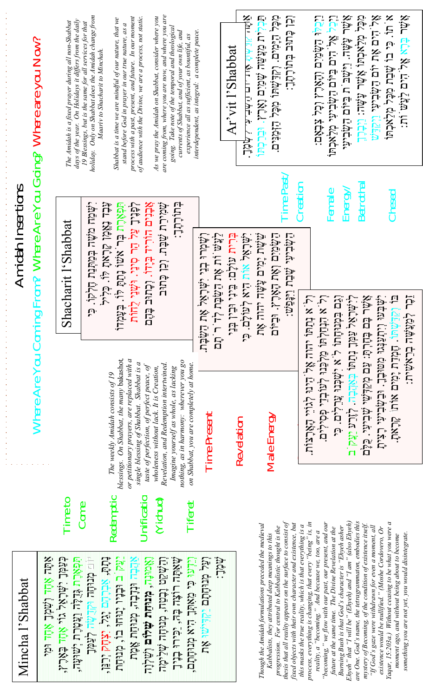|                   |                                                                    |                     | days of the year. On Holidays it differs from the daily<br>The Amidah is a fixed prayer during all non-Shabbat | holiday. Only on Shabbat does the Amidah change from<br>19 Blessings, but is the same for all services for that | Shabbat is a time we are mindful of our nature, that we<br>Maariv to Shacharit to Minchah.                                                  | process with a past, present, and future. In our moment<br>stand before God in prayer in our true nature, as a                       | of audience with the Divine, we are a process, not static. | are coming from, where you are now, and where you are<br>As we pray the Amidah on Shabbat, consider where you | going. Take note of the temporal and theological<br>currents of Shabbat, and of your own life, and<br>experience all as sufficient, as bountiful, as | interdependent, as integral: a complete peace.                                   |           | Ar'vit l'Shabbat | $\tilde{\mathbf{x}}$<br>にかけ ない ロウかけん<br>خَمِّرْتُولاً -                                                               | תְּבְּלִית מַצְּשֵׁה שָׁמַיִם וָאָרֶץ. וּבְּרַכְּחוּ | ּטִבָּל הַיָּמִים. וְקִדַּשְׁתוּ מִכָּל הַזְמַנִּים.                                                        | ּוֹבוֹ כָּתוּב בְּתוֹרָהָדָ                                                                                               |                                                            | ּוֹבֹלֵן הַמָּסִיִם וְהַאֲרֶץ וְכָל ¥ִבְאָם:                                                                                                                                                                                        |        |                                                                                                                 | נגְבַל אֶל הִים בַּיּוֹם הַשְׁבִיעִי מְלַאבְתּוּ<br>אֲשֶׁר עָשֶׁה. וַיִּשְׁבּ ת בַּיּוֹם הַשְּׂבִיעִי<br>אֲשֶׁר עָלַאבְתוּ אָשֶׁר עָשָׁוּ. וַיִּבְרֶךְ                                                                               | אָל הים אָת יום הַשְּׂבִיעִי וַיְקַדֵּשׁ                                                                       | א תו. כִּי בוֹ שָׁבַת מִכָּל מְלַאכְתוֹ                                                                                                                   | :עָלָי בּוֹבָא אֶל הַיִם לַגَיָשׁ וְת              |  |
|-------------------|--------------------------------------------------------------------|---------------------|----------------------------------------------------------------------------------------------------------------|-----------------------------------------------------------------------------------------------------------------|---------------------------------------------------------------------------------------------------------------------------------------------|--------------------------------------------------------------------------------------------------------------------------------------|------------------------------------------------------------|---------------------------------------------------------------------------------------------------------------|------------------------------------------------------------------------------------------------------------------------------------------------------|----------------------------------------------------------------------------------|-----------|------------------|-----------------------------------------------------------------------------------------------------------------------|------------------------------------------------------|-------------------------------------------------------------------------------------------------------------|---------------------------------------------------------------------------------------------------------------------------|------------------------------------------------------------|-------------------------------------------------------------------------------------------------------------------------------------------------------------------------------------------------------------------------------------|--------|-----------------------------------------------------------------------------------------------------------------|--------------------------------------------------------------------------------------------------------------------------------------------------------------------------------------------------------------------------------------|----------------------------------------------------------------------------------------------------------------|-----------------------------------------------------------------------------------------------------------------------------------------------------------|----------------------------------------------------|--|
| Amidah Insertions | Where Are You Coming From? Where Are You Going? Where are you Now? |                     | Shacharit I'Shabbat                                                                                            | َّبِمَٰٓם מִשֶּׁה בְּסִוּּ֑נַת הַלְקוֹ בִּי                                                                     | תּَבֹּב הֹאֲשָׁו שַׁרָאִתָ לְּוּ כִּלְיל                                                                                                    | תַּפְאֶרֶת בְּר אִשׁוֹ נָתַתָּ לּוֹ. בְּעָמְדוֹ<br>לְפָנִיךָ צַל הַר סִינַי. וּשְׁנֵי לֻחוֹת                                         | אָבֹנִם הוִרְיד בְּיֶדוּ. וְכָחוּב בָּהֶם                  | ִּשְׁמִירַת שֲׁבָּת. וְכֵן בָּתוּב                                                                            | בָּתוֹרָתֶ <b>ד</b> ָ                                                                                                                                | וְשָׁמְרוּ בְנֵי יִשְׁרָאֵל אֶת הַשַּׂבָת.<br>לַעֲשׁ וֹת אֶת הַשַּׂבָת לְד ר תָם |           |                  | תַּיְרָית עוֹלָם: בֵּינִי וּבִין בְּנֵי<br>  יִשְׁרָאֵל אוֹת הָיא לְעוֹלָם. כִּי<br>  יִשְׁעָת יָמִים עֲשָׂה יהוה אֶת |                                                      | בَתَمِّة וּבֹּיֹן הַאָּת הַאָּרֶ                                                                            | Time Past<br><b>Creation</b><br>בَתּֽֽׁבֹּיִנִּי שְׁבַח וַיִּנְּפַּיִּט:                                                  |                                                            |                                                                                                                                                                                                                                     | Female | Energy/                                                                                                         | Betrothal                                                                                                                                                                                                                            |                                                                                                                | Chesed                                                                                                                                                    | ێڗ<br>ڵؾ                                           |  |
|                   |                                                                    |                     |                                                                                                                |                                                                                                                 | The weekly Amidah consists of 19                                                                                                            | blessings. On Shabbat, the many bakashot,<br>or petitionary prayers, are replaced with a<br>single blessing of Shabbat. Shabbat is a | taste of perfection, of perfect peace, of                  | Revelation, and Redemption intertwined.<br>wholeness without lack. It is Creation,                            | nothing, as in harmony: wherever you go<br>on Shabbat, you are completely at home.<br>Imagine yourself as whole, as lacking                          | Time Present                                                                     |           |                  | Revelation                                                                                                            |                                                      | Male Energy                                                                                                 |                                                                                                                           |                                                            |                                                                                                                                                                                                                                     |        |                                                                                                                 | אָשֶׁר בֹּם בֹּמַרְתַּי צַּם מְקַיַּנְי עֲלוֹיֵי קָעוֹיֵי קָאָרָצוֹת.<br>  וְכִם בִּמְרַחֲתוֹ לִ' א יִשְׁבְּוּ עֲרֵלִיִם. כִּי<br>  וְכִם בִּמְרַחָתוֹ ל' א יִשְׁבְּוּ עֲרֵלִים. כִּי<br>  וְלִישִׁרְאֵל עַמְּךָ נְתַחוֹ בְּאֲהֲבָה. |                                                                                                                | יִשְׁבְעוּ וְיִתְעַנְּגוּ מִטּוּבֶךָ. וּבַעָּבִיעִי רָצִיתָ<br>בּוֹ וְקְדַשְׁחוֹ. חֵמְדַח יַמִים אוֹחוֹ קראת.<br>ינאבן, האם אות פינים אות <sub>ה</sub> אב | לְסִגֹּשָׁה בְרֵאִטִית:                            |  |
|                   |                                                                    | <b>Rúu Řůu ládt</b> | Time to<br>בּׁגַּפְׂךָ יִשְּׁרָאָל גוי                                                                         | Conne                                                                                                           | Redemptio:                                                                                                                                  |                                                                                                                                      | Unification                                                | (Yichud)                                                                                                      | Tiferet                                                                                                                                              | ּוֹצַל מְנוּחָתָם יַקְדִּישׁוּ אֶת                                               | .<br>.ačL |                  |                                                                                                                       | Though the Amidah formulations preceded the medieval | progression. For central to Kabbalistic thought is the<br>Kabbalists, they attributed deep meanings to this | thesis that all reality appears on the surface to consist of<br>fixed objects with their own character and existence, but | this masks the true reality, which is that everything is a | process, everything is changing, that every "being" is, in<br>reality, a "becoming." And because we, too, are a<br>"becoming," we flow with our past, our present, and our<br>future at the same time. The Divine Revelation at the |        | Burning Bush is that God's character is "Ehyeh asher<br>Ehyeh" that "I will be" (Ehyeh) and "I am" (also Ehyeh) | are One. God's name, the tetragrammaton, embodies this<br>mystery of Becoming, of the condition of existence itself.                                                                                                                 | "If $God$ 's gaze were withdrawn for even a moment, all<br>existence would be nullified." (Moshe Cordovero, Or | Yaqar, 15:203a.) Without ceasing to be what you were a<br>moment ago, and without being about to become                                                   | something you are not yet, you would disintegrate. |  |
| Mincha l'Shabbat  |                                                                    | <b>ŇŮL ŀc.</b>      | <u>אֲנוֹן בֿאָנֿו,</u>                                                                                         | שַׁפְאָרֶת גָּדֵלֶה וַצְטָרֶת יְשׁוּעָה,<br><u>ּי</u> לְעַמָּךְ                                                 | <sub>ּוֹרָהַ</sub> מְנִיּחָה וּקְדֻשָׂה לְצַמְּךָ<br>נְתָתָ, אַבְרֶתָם יְגֵל, יִצְּחָק יְרַנֵּן,<br>נָתָק ב וּבְנָיו יָנוּחוּ בוֹ, מְנוּחַת | אֲלֹוּב וּנִבְבֹוּ, לְנוּבוּם אֲלֹוּ                                                                                                 | וֹאֵמוּנָה, <b>מִנוּחַת שְׁלוּם</b> וְשַׁלְוָה             | لْقِرَمَةِ تَامَا لَــوَمَا لَــوَمَا لَــوَا بَعْرَ بِهَا بِهَا بِهَا بِهَا بِهَا بِهَا بِهَا بِهَا          | َשָׁאַמָּה רוֹצֶה בָּה, יַכִּירוּ בְנֶיךָ<br>וְנִיְתֵוּ כִּי מֵאִתְּךָ הִיא מְנוּחָתָם,                                                              |                                                                                  |           |                  |                                                                                                                       |                                                      |                                                                                                             |                                                                                                                           |                                                            |                                                                                                                                                                                                                                     |        |                                                                                                                 |                                                                                                                                                                                                                                      |                                                                                                                |                                                                                                                                                           |                                                    |  |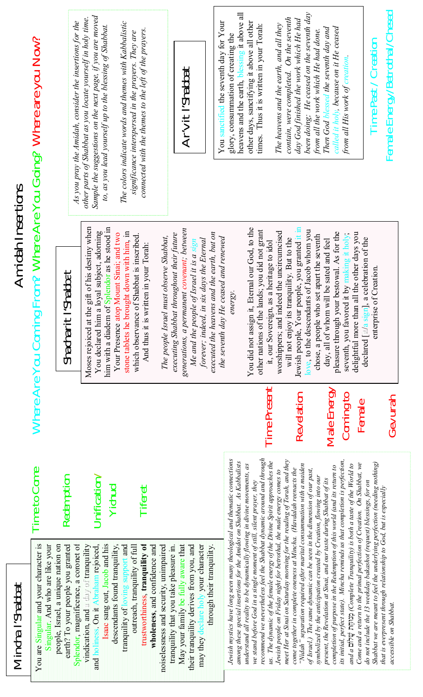|                          | Where Are You Coming From? Where Are You Going? Where are you Now?            | As you pray the Amidah, consider the insertions for the                                                              | Sample the suggestions on the next page, if you are moved<br>other parts of Shabbat as you locate yourself in holy time.<br>to, as you lead yourself up to the blessing of Shabbat | The colors indicate words and themes with Kabbalistic<br>connected with the themes to the left of the prayers.<br>significance interspersed in the prayers. They are        | Ar'vit l'Shabbat                                                                                                                                                                                                                                                         | You sanctified the seventh day for Your  | heavens and the earth, blessing it above all<br>glory, consummation of creating the                                                                | other days, sanctifying it above all other<br>times. Thus it is written in your Torah:                                                                                                                                                                                                                | The heavens and the earth, and all they                               | contain, were completed. On the seventh<br>day God finished the work which He had                                                                                                                                                                                                                 | been doing; He ceased on the seventh day<br>from all the work which He had done.        | called it holy, because on it He ceased<br>Then God blessed the seventh day and                                                                   | from all His work of creation                                                                                                                                                                                                            | Time Past / Creation                                                                                                                                                                                                 | Female Energy/Betrothal/Chesed |
|--------------------------|-------------------------------------------------------------------------------|----------------------------------------------------------------------------------------------------------------------|------------------------------------------------------------------------------------------------------------------------------------------------------------------------------------|-----------------------------------------------------------------------------------------------------------------------------------------------------------------------------|--------------------------------------------------------------------------------------------------------------------------------------------------------------------------------------------------------------------------------------------------------------------------|------------------------------------------|----------------------------------------------------------------------------------------------------------------------------------------------------|-------------------------------------------------------------------------------------------------------------------------------------------------------------------------------------------------------------------------------------------------------------------------------------------------------|-----------------------------------------------------------------------|---------------------------------------------------------------------------------------------------------------------------------------------------------------------------------------------------------------------------------------------------------------------------------------------------|-----------------------------------------------------------------------------------------|---------------------------------------------------------------------------------------------------------------------------------------------------|------------------------------------------------------------------------------------------------------------------------------------------------------------------------------------------------------------------------------------------|----------------------------------------------------------------------------------------------------------------------------------------------------------------------------------------------------------------------|--------------------------------|
| <b>Amidah Insertions</b> |                                                                               | l'Shabbat<br>Shacharit                                                                                               | Moses rejoiced at the gift of his destiny when<br>him with a diadem of Splendor as he stood in<br>You declared him a loyal subject, adorning                                       | stone tablets he brought down with him, in<br>Your Presence atop Mount Sinai; and two<br>which observance of Shabbat is inscribed.<br>And thus it is written in your Torah: | generations, a permanent covenant; between<br>executed the heavens and the earth, but on<br>executing Shabbat throughout their future<br>The people Israel must observe Shabbat,<br>forever; indeed, in six days the Eternal<br>Me and the people of Israel it is a sign | He ceased and renewed<br>the seventh day | energy.                                                                                                                                            | You did not assign it, Eternal our God, to the<br>other nations of the lands; you did not grant<br>it, our Sovereign, as a heritage to idol                                                                                                                                                           | indeed the uncircumcised<br>worshippers; and                          | Jewish people, Your people, you granted it in<br>will not enjoy its tranquility. But to the                                                                                                                                                                                                       | love, to the descendants of Jacob whom you<br>chose, a people who set apart the seventh | pleasure through your bestowal. As for the<br>day, all of whom will be sated and feel                                                             | delightful more than all the other days you<br>seventh, you favored it by making it holy,                                                                                                                                                | declared [it/a sign], a celebration of the<br>enterprise of Creation.                                                                                                                                                |                                |
|                          |                                                                               |                                                                                                                      |                                                                                                                                                                                    |                                                                                                                                                                             |                                                                                                                                                                                                                                                                          |                                          |                                                                                                                                                    | Time Present                                                                                                                                                                                                                                                                                          |                                                                       | Revelation                                                                                                                                                                                                                                                                                        |                                                                                         | Male Energy                                                                                                                                       | Coming to<br>Female                                                                                                                                                                                                                      |                                                                                                                                                                                                                      | Gevurah                        |
|                          | Time to Come                                                                  | Redemption                                                                                                           | Uniform/<br>Yichud                                                                                                                                                                 | Tiferet                                                                                                                                                                     |                                                                                                                                                                                                                                                                          |                                          |                                                                                                                                                    |                                                                                                                                                                                                                                                                                                       |                                                                       |                                                                                                                                                                                                                                                                                                   |                                                                                         |                                                                                                                                                   |                                                                                                                                                                                                                                          |                                                                                                                                                                                                                      |                                |
| l'Shabbat<br>Mincha      | ular and your character is<br>Singular. And who are like your<br>You are Sing | Splendor, magnificence, a coronet of<br>Israel, a unique nation on<br>earth? To your people you granted<br>people, l | Isaac sang out, Jacob and his<br>vindication, and a day of tranquility<br>and holiness. On it Abraham rejoiced,                                                                    | trustworthiness, tranquility of<br>outreach, tranquility of full<br>descendants found tranquility,<br>wholeness, and confidence and<br>tranquility of loving support and    | may they declare holy your character<br>May your family be fully aware that<br>their tranquility derives from you, and<br>and security, unimpaired<br>tranquility that you take pleasure in.<br>through their tranquility.<br>noiselessness                              |                                          | Jewish mystics have long seen many theological and thematic connections<br>among these special insertions for the Amidot on Shabbat. As Kabbalists | recommend we nevertheless feel the Shabbat dynamic around and through<br>us. The dynamic of the female energy of the Divine Spirit approaches the<br>understand all reality to be dynamically flowing in divine movements, as<br>we stand before God in a single moment of still, silent prayer, they | Jewish people on Friday night for betrothal, the male energy comes to | meet Her at Sinai on Saturday morning for the reading of Torah, and they<br>come together in complete oneness at Mincha. (Havdalah reenacts the<br>"Nidah" separation required after marital consummation with a maiden<br>of Israel.) The same dynamic can be seen in the dimension of our past, | symbolized by the anticipation created by Creation, flowing into our                    | completion of purpose in the Redemption of this world (and its return to<br>present, the Revelation at Sinai, and our taste during Shabbat of its | its initial, perfect state). Mincha reminds us that completion is perfection,<br>Come and a return to the primal perfection of Creation. On Shabbat, we<br>and a $\Delta$ 70 min) (Complete Tranquility) is both a taste of the World to | Shabbat we are meant to feel the underlying perfection (needing nothing)<br>do not include the 13 weekday bakashot (request) blessings, for on<br>that is everpresent through relationship to God, but is especially | accessible on Shabbat.         |